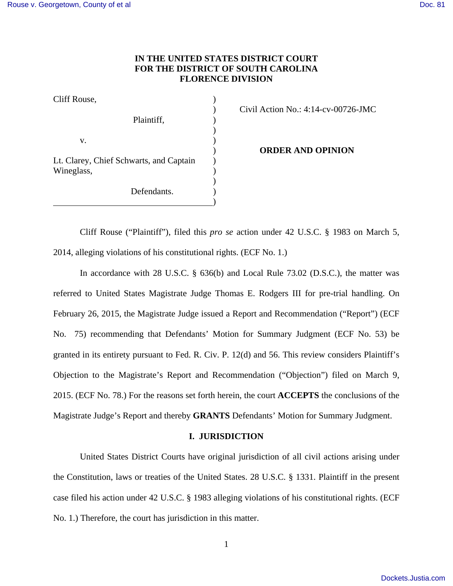# **IN THE UNITED STATES DISTRICT COURT FOR THE DISTRICT OF SOUTH CAROLINA FLORENCE DIVISION**

| Cliff Rouse, |  |
|--------------|--|
|              |  |

Plaintiff,  $\qquad \qquad$ )  $)$  $\mathbf{v}$ .  $\qquad \qquad$  ) Lt. Clarey, Chief Schwarts, and Captain ) Wineglass, )  $)$ 

<u>)</u>

Defendants.

) Civil Action No.: 4:14-cv-00726-JMC

) **ORDER AND OPINION**

Cliff Rouse ("Plaintiff"), filed this *pro se* action under 42 U.S.C. § 1983 on March 5, 2014, alleging violations of his constitutional rights. (ECF No. 1.)

In accordance with 28 U.S.C. § 636(b) and Local Rule 73.02 (D.S.C.), the matter was referred to United States Magistrate Judge Thomas E. Rodgers III for pre-trial handling. On February 26, 2015, the Magistrate Judge issued a Report and Recommendation ("Report") (ECF No. 75) recommending that Defendants' Motion for Summary Judgment (ECF No. 53) be granted in its entirety pursuant to Fed. R. Civ. P. 12(d) and 56. This review considers Plaintiff's Objection to the Magistrate's Report and Recommendation ("Objection") filed on March 9, 2015. (ECF No. 78.) For the reasons set forth herein, the court **ACCEPTS** the conclusions of the Magistrate Judge's Report and thereby **GRANTS** Defendants' Motion for Summary Judgment.

## **I. JURISDICTION**

United States District Courts have original jurisdiction of all civil actions arising under the Constitution, laws or treaties of the United States. 28 U.S.C. § 1331. Plaintiff in the present case filed his action under 42 U.S.C. § 1983 alleging violations of his constitutional rights. (ECF No. 1.) Therefore, the court has jurisdiction in this matter.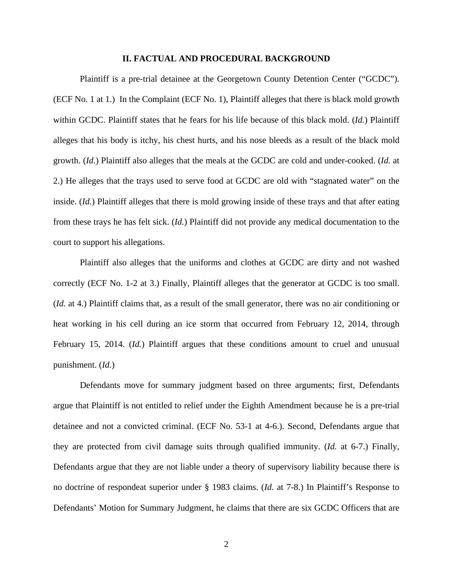### **II. FACTUAL AND PROCEDURAL BACKGROUND**

Plaintiff is a pre-trial detainee at the Georgetown County Detention Center ("GCDC"). (ECF No. 1 at 1.) In the Complaint (ECF No. 1), Plaintiff alleges that there is black mold growth within GCDC. Plaintiff states that he fears for his life because of this black mold. (*Id.*) Plaintiff alleges that his body is itchy, his chest hurts, and his nose bleeds as a result of the black mold growth. (*Id.*) Plaintiff also alleges that the meals at the GCDC are cold and under-cooked. (*Id.* at 2.) He alleges that the trays used to serve food at GCDC are old with "stagnated water" on the inside. (*Id.*) Plaintiff alleges that there is mold growing inside of these trays and that after eating from these trays he has felt sick. (*Id.*) Plaintiff did not provide any medical documentation to the court to support his allegations.

Plaintiff also alleges that the uniforms and clothes at GCDC are dirty and not washed correctly (ECF No. 1-2 at 3.) Finally, Plaintiff alleges that the generator at GCDC is too small. (*Id.* at 4.) Plaintiff claims that, as a result of the small generator, there was no air conditioning or heat working in his cell during an ice storm that occurred from February 12, 2014, through February 15, 2014. (*Id.*) Plaintiff argues that these conditions amount to cruel and unusual punishment. (*Id.*)

Defendants move for summary judgment based on three arguments; first, Defendants argue that Plaintiff is not entitled to relief under the Eighth Amendment because he is a pre-trial detainee and not a convicted criminal. (ECF No. 53-1 at 4-6.). Second, Defendants argue that they are protected from civil damage suits through qualified immunity. (*Id.* at 6-7.) Finally, Defendants argue that they are not liable under a theory of supervisory liability because there is no doctrine of respondeat superior under § 1983 claims. (*Id.* at 7-8.) In Plaintiff's Response to Defendants' Motion for Summary Judgment, he claims that there are six GCDC Officers that are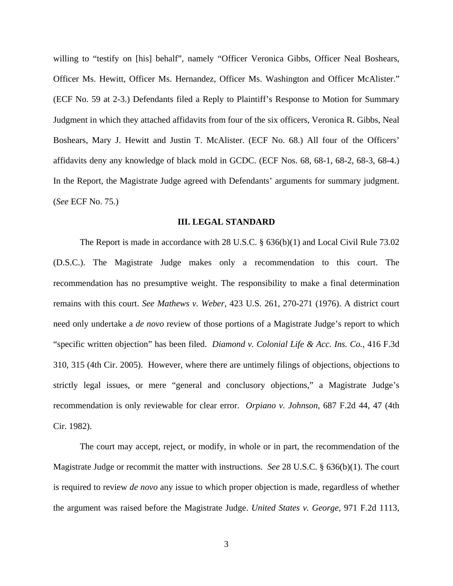willing to "testify on [his] behalf", namely "Officer Veronica Gibbs, Officer Neal Boshears, Officer Ms. Hewitt, Officer Ms. Hernandez, Officer Ms. Washington and Officer McAlister." (ECF No. 59 at 2-3.) Defendants filed a Reply to Plaintiff's Response to Motion for Summary Judgment in which they attached affidavits from four of the six officers, Veronica R. Gibbs, Neal Boshears, Mary J. Hewitt and Justin T. McAlister. (ECF No. 68.) All four of the Officers' affidavits deny any knowledge of black mold in GCDC. (ECF Nos. 68, 68-1, 68-2, 68-3, 68-4.) In the Report, the Magistrate Judge agreed with Defendants' arguments for summary judgment. (*See* ECF No. 75.)

### **III. LEGAL STANDARD**

The Report is made in accordance with 28 U.S.C. § 636(b)(1) and Local Civil Rule 73.02 (D.S.C.). The Magistrate Judge makes only a recommendation to this court. The recommendation has no presumptive weight. The responsibility to make a final determination remains with this court. *See Mathews v. Weber*, 423 U.S. 261, 270-271 (1976). A district court need only undertake a *de novo* review of those portions of a Magistrate Judge's report to which "specific written objection" has been filed. *Diamond v. Colonial Life & Acc. Ins. Co.*, 416 F.3d 310, 315 (4th Cir. 2005). However, where there are untimely filings of objections, objections to strictly legal issues, or mere "general and conclusory objections," a Magistrate Judge's recommendation is only reviewable for clear error. *Orpiano v. Johnson*, 687 F.2d 44, 47 (4th Cir. 1982).

The court may accept, reject, or modify, in whole or in part, the recommendation of the Magistrate Judge or recommit the matter with instructions. *See* 28 U.S.C. § 636(b)(1). The court is required to review *de novo* any issue to which proper objection is made, regardless of whether the argument was raised before the Magistrate Judge. *United States v. George*, 971 F.2d 1113,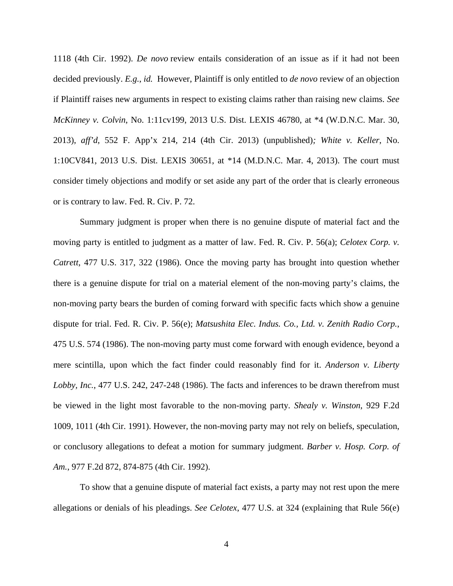1118 (4th Cir. 1992). *De novo* review entails consideration of an issue as if it had not been decided previously. *E.g.*, *id.* However, Plaintiff is only entitled to *de novo* review of an objection if Plaintiff raises new arguments in respect to existing claims rather than raising new claims. *See McKinney v. Colvin*, No. 1:11cv199, 2013 U.S. Dist. LEXIS 46780, at \*4 (W.D.N.C. Mar. 30, 2013), *aff'd*, 552 F. App'x 214, 214 (4th Cir. 2013) (unpublished)*; White v. Keller*, No. 1:10CV841, 2013 U.S. Dist. LEXIS 30651, at \*14 (M.D.N.C. Mar. 4, 2013). The court must consider timely objections and modify or set aside any part of the order that is clearly erroneous or is contrary to law. Fed. R. Civ. P. 72.

 Summary judgment is proper when there is no genuine dispute of material fact and the moving party is entitled to judgment as a matter of law. Fed. R. Civ. P. 56(a); *Celotex Corp. v. Catrett*, 477 U.S. 317, 322 (1986). Once the moving party has brought into question whether there is a genuine dispute for trial on a material element of the non-moving party's claims, the non-moving party bears the burden of coming forward with specific facts which show a genuine dispute for trial. Fed. R. Civ. P. 56(e); *Matsushita Elec. Indus. Co., Ltd. v. Zenith Radio Corp.*, 475 U.S. 574 (1986). The non-moving party must come forward with enough evidence, beyond a mere scintilla, upon which the fact finder could reasonably find for it. *Anderson v. Liberty Lobby, Inc.*, 477 U.S. 242, 247-248 (1986). The facts and inferences to be drawn therefrom must be viewed in the light most favorable to the non-moving party*. Shealy v. Winston*, 929 F.2d 1009, 1011 (4th Cir. 1991). However, the non-moving party may not rely on beliefs, speculation, or conclusory allegations to defeat a motion for summary judgment. *Barber v. Hosp. Corp. of Am.*, 977 F.2d 872, 874-875 (4th Cir. 1992).

 To show that a genuine dispute of material fact exists, a party may not rest upon the mere allegations or denials of his pleadings. *See Celotex*, 477 U.S. at 324 (explaining that Rule 56(e)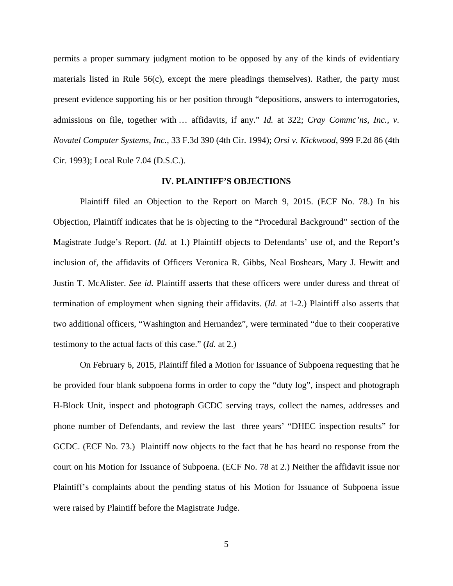permits a proper summary judgment motion to be opposed by any of the kinds of evidentiary materials listed in Rule 56(c), except the mere pleadings themselves). Rather, the party must present evidence supporting his or her position through "depositions, answers to interrogatories, admissions on file, together with … affidavits, if any." *Id.* at 322; *Cray Commc'ns, Inc., v. Novatel Computer Systems, Inc.*, 33 F.3d 390 (4th Cir. 1994); *Orsi v. Kickwood*, 999 F.2d 86 (4th Cir. 1993); Local Rule 7.04 (D.S.C.).

### **IV. PLAINTIFF'S OBJECTIONS**

 Plaintiff filed an Objection to the Report on March 9, 2015. (ECF No. 78.) In his Objection, Plaintiff indicates that he is objecting to the "Procedural Background" section of the Magistrate Judge's Report. (*Id.* at 1.) Plaintiff objects to Defendants' use of, and the Report's inclusion of, the affidavits of Officers Veronica R. Gibbs, Neal Boshears, Mary J. Hewitt and Justin T. McAlister. *See id.* Plaintiff asserts that these officers were under duress and threat of termination of employment when signing their affidavits. (*Id.* at 1-2.) Plaintiff also asserts that two additional officers, "Washington and Hernandez", were terminated "due to their cooperative testimony to the actual facts of this case." (*Id.* at 2.)

On February 6, 2015, Plaintiff filed a Motion for Issuance of Subpoena requesting that he be provided four blank subpoena forms in order to copy the "duty log", inspect and photograph H-Block Unit, inspect and photograph GCDC serving trays, collect the names, addresses and phone number of Defendants, and review the last three years' "DHEC inspection results" for GCDC. (ECF No. 73.) Plaintiff now objects to the fact that he has heard no response from the court on his Motion for Issuance of Subpoena. (ECF No. 78 at 2.) Neither the affidavit issue nor Plaintiff's complaints about the pending status of his Motion for Issuance of Subpoena issue were raised by Plaintiff before the Magistrate Judge.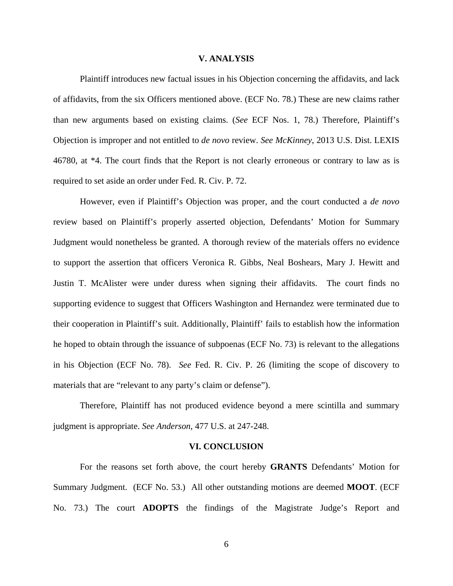### **V. ANALYSIS**

 Plaintiff introduces new factual issues in his Objection concerning the affidavits, and lack of affidavits, from the six Officers mentioned above. (ECF No. 78.) These are new claims rather than new arguments based on existing claims. (*See* ECF Nos. 1, 78.) Therefore, Plaintiff's Objection is improper and not entitled to *de novo* review. *See McKinney*, 2013 U.S. Dist. LEXIS 46780, at \*4. The court finds that the Report is not clearly erroneous or contrary to law as is required to set aside an order under Fed. R. Civ. P. 72.

However, even if Plaintiff's Objection was proper, and the court conducted a *de novo* review based on Plaintiff's properly asserted objection, Defendants' Motion for Summary Judgment would nonetheless be granted. A thorough review of the materials offers no evidence to support the assertion that officers Veronica R. Gibbs, Neal Boshears, Mary J. Hewitt and Justin T. McAlister were under duress when signing their affidavits. The court finds no supporting evidence to suggest that Officers Washington and Hernandez were terminated due to their cooperation in Plaintiff's suit. Additionally, Plaintiff' fails to establish how the information he hoped to obtain through the issuance of subpoenas (ECF No. 73) is relevant to the allegations in his Objection (ECF No. 78). *See* Fed. R. Civ. P. 26 (limiting the scope of discovery to materials that are "relevant to any party's claim or defense").

Therefore, Plaintiff has not produced evidence beyond a mere scintilla and summary judgment is appropriate. *See Anderson*, 477 U.S. at 247-248.

### **VI. CONCLUSION**

 For the reasons set forth above, the court hereby **GRANTS** Defendants' Motion for Summary Judgment. (ECF No. 53.) All other outstanding motions are deemed **MOOT**. (ECF No. 73.) The court **ADOPTS** the findings of the Magistrate Judge's Report and